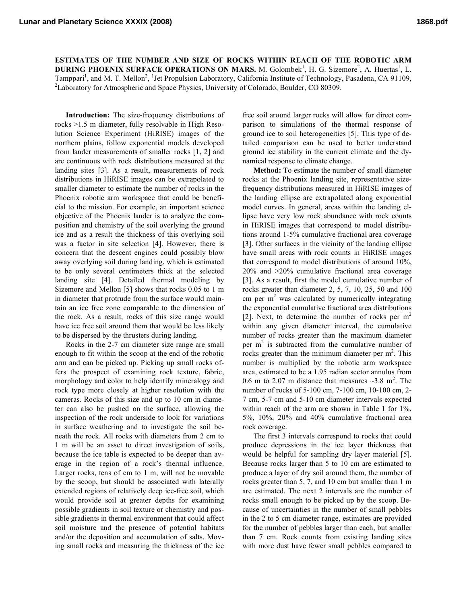**ESTIMATES OF THE NUMBER AND SIZE OF ROCKS WITHIN REACH OF THE ROBOTIC ARM DURING PHOENIX SURFACE OPERATIONS ON MARS. M. Golombek<sup>1</sup>, H. G. Sizemore<sup>2</sup>, A. Huertas<sup>1</sup>, L.** Tamppari<sup>1</sup>, and M. T. Mellon<sup>2</sup>, <sup>1</sup>Jet Propulsion Laboratory, California Institute of Technology, Pasadena, CA 91109, <sup>2</sup>Laboratory for Atmospheric and Space Physics, University of Colorado, Boulder, CO 80309.

**Introduction:** The size-frequency distributions of rocks >1.5 m diameter, fully resolvable in High Resolution Science Experiment (HiRISE) images of the northern plains, follow exponential models developed from lander measurements of smaller rocks [1, 2] and are continuous with rock distributions measured at the landing sites [3]. As a result, measurements of rock distributions in HiRISE images can be extrapolated to smaller diameter to estimate the number of rocks in the Phoenix robotic arm workspace that could be beneficial to the mission. For example, an important science objective of the Phoenix lander is to analyze the composition and chemistry of the soil overlying the ground ice and as a result the thickness of this overlying soil was a factor in site selection [4]. However, there is concern that the descent engines could possibly blow away overlying soil during landing, which is estimated to be only several centimeters thick at the selected landing site [4]. Detailed thermal modeling by Sizemore and Mellon [5] shows that rocks 0.05 to 1 m in diameter that protrude from the surface would maintain an ice free zone comparable to the dimension of the rock. As a result, rocks of this size range would have ice free soil around them that would be less likely to be dispersed by the thrusters during landing.

Rocks in the 2-7 cm diameter size range are small enough to fit within the scoop at the end of the robotic arm and can be picked up. Picking up small rocks offers the prospect of examining rock texture, fabric, morphology and color to help identify mineralogy and rock type more closely at higher resolution with the cameras. Rocks of this size and up to 10 cm in diameter can also be pushed on the surface, allowing the inspection of the rock underside to look for variations in surface weathering and to investigate the soil beneath the rock. All rocks with diameters from 2 cm to 1 m will be an asset to direct investigation of soils, because the ice table is expected to be deeper than average in the region of a rock's thermal influence. Larger rocks, tens of cm to 1 m, will not be movable by the scoop, but should be associated with laterally extended regions of relatively deep ice-free soil, which would provide soil at greater depths for examining possible gradients in soil texture or chemistry and possible gradients in thermal environment that could affect soil moisture and the presence of potential habitats and/or the deposition and accumulation of salts. Moving small rocks and measuring the thickness of the ice free soil around larger rocks will allow for direct comparison to simulations of the thermal response of ground ice to soil heterogeneities [5]. This type of detailed comparison can be used to better understand ground ice stability in the current climate and the dynamical response to climate change.

**Method:** To estimate the number of small diameter rocks at the Phoenix landing site, representative sizefrequency distributions measured in HiRISE images of the landing ellipse are extrapolated along exponential model curves. In general, areas within the landing ellipse have very low rock abundance with rock counts in HiRISE images that correspond to model distributions around 1-5% cumulative fractional area coverage [3]. Other surfaces in the vicinity of the landing ellipse have small areas with rock counts in HiRISE images that correspond to model distributions of around 10%, 20% and >20% cumulative fractional area coverage [3]. As a result, first the model cumulative number of rocks greater than diameter 2, 5, 7, 10, 25, 50 and 100 cm per  $m<sup>2</sup>$  was calculated by numerically integrating the exponential cumulative fractional area distributions [2]. Next, to determine the number of rocks per  $m<sup>2</sup>$ within any given diameter interval, the cumulative number of rocks greater than the maximum diameter per  $m<sup>2</sup>$  is subtracted from the cumulative number of rocks greater than the minimum diameter per  $m<sup>2</sup>$ . This number is multiplied by the robotic arm workspace area, estimated to be a 1.95 radian sector annulus from 0.6 m to 2.07 m distance that measures  $\sim$ 3.8 m<sup>2</sup>. The number of rocks of 5-100 cm, 7-100 cm, 10-100 cm, 2- 7 cm, 5-7 cm and 5-10 cm diameter intervals expected within reach of the arm are shown in Table 1 for 1%, 5%, 10%, 20% and 40% cumulative fractional area rock coverage.

The first 3 intervals correspond to rocks that could produce depressions in the ice layer thickness that would be helpful for sampling dry layer material [5]. Because rocks larger than 5 to 10 cm are estimated to produce a layer of dry soil around them, the number of rocks greater than 5, 7, and 10 cm but smaller than 1 m are estimated. The next 2 intervals are the number of rocks small enough to be picked up by the scoop. Because of uncertainties in the number of small pebbles in the 2 to 5 cm diameter range, estimates are provided for the number of pebbles larger than each, but smaller than 7 cm. Rock counts from existing landing sites with more dust have fewer small pebbles compared to